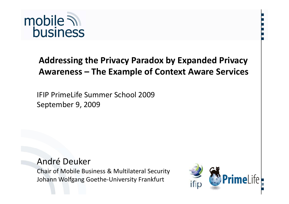

#### **Addressing the Privacy Paradox by Expanded Privacy Awareness – The Example of Context Aware Services**

IFIP PrimeLife Summer School 2009 September 9, 2009

André Deuker Chair of Mobile Business & Multilateral Security Johann Wolfgang Goethe‐University Frankfurt



**…**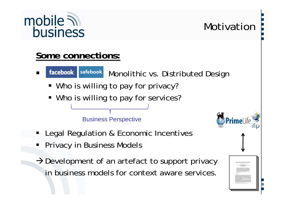

Ξ

#### **…** Motivation**…**

#### **Some connections:**

- facebook safebook Monolithic vs. Distributed Design
- Who is willing to pay for privacy?
- Who is willing to pay for services?

Business Perspective

- Ξ Legal Regulation & Economic Incentives
- ٠ Privacy in Business Models
- $\rightarrow$  Development of an artefact to support privacy in business models for context aware services.

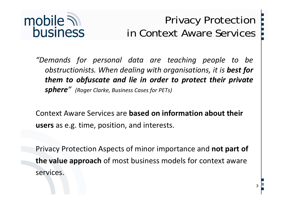

### **…**Privacy Protection **…**in Context Aware Services

**...**

3

*"Demands for persona l data are teaching people to be obstructionists. When dealing with organisations, it is best for them to obfuscate and lie in order to protect their private sphere " (Roger Clarke, Business Cases for PETs)*

Context Aware Services are **based on information about their users** as e.g. time, position, and interests.

Privacy Protection Aspects of minor importance and **not part of the value approach** of most business models for context aware services.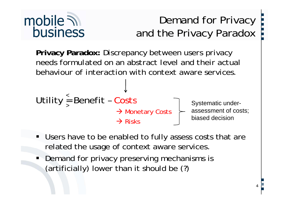# mobile  $\overline{\mathcal{N}}$ **business**

## **…**Demand for Privacy **…**and the Privacy Paradox

Privacy Paradox: *Discrepancy between users privacy needs formulated on an abstract level and their actual behaviour of interaction with context aware services.*



- Users have to be enabled to fully assess costs that are related the usage of context aware services.
- **Demand for privacy preserving mechanisms is** (artificially) lower than it should be (?)<br>
<sup>4</sup>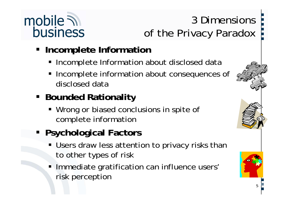# mobile  $\mathbb N$ **business**

## **…**3 Dimensions **…**of the Privacy Paradox

- **EXPLEMENT Incomplete Information** 
	- **Incomplete Information about disclosed data**
	- $\blacksquare$  Incomplete information about consequences of disclosed data
- **Bounded Rationality** 
	- **Wrong or biased conclusions in spite of** complete information
- **Psychological Factors**
	- Users draw less attention to privacy risks than to other types of risk
	- ٠ Immediate gratification can influence users' risk perception

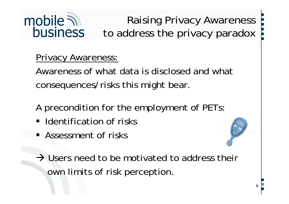#### mobile  $\mathcal{D}$ **…**Raising Privacy Awareness **business** to address the privacy paradox

Privacy Awareness:

Awareness of what data is disclosed and what consequences/risks this might bear.

A precondition for the employment of PETs:

- **I** Identification of risks
- **Assessment of risks**
- $\rightarrow$  Users need to be motivated to address their own limits of risk perception perception.

**...**

6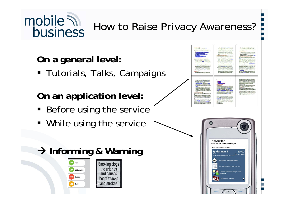# mobile  $\lambda$ business

**…** How to Raise Privacy Awareness?

**O l l l n a general level:**

Tutorials, Talks, Campaigns

**On an application level:**

- **Before using the service**
- **While using the service**



**…**

#### Æ **I f i & W i In forming Warning**



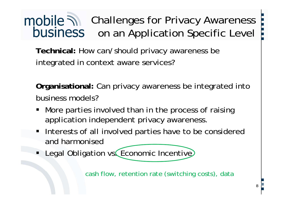# mobile **M** Challenges for Privacy Awareness **business** on an Application Specific Level

**Technical:** How can/should privacy awareness be integrated in context aware services?

**Organisational:** Can privacy awareness be integrated into business models?

- **•** More parties involved than in the process of raising application independent privacy awareness.
- **Interests of all involved parties have to be considered** and harmonised
- **Example 20 Incident** Units 2010 VS. Economic Incentive

cash flow, retention rate (switching costs), data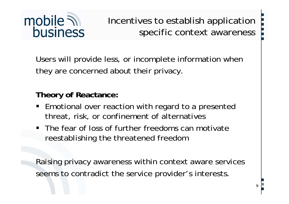

**…**Incentives to establish application **…**specific context awareness

Users will provide less, or incomplete information when they are concerned about their privacy.

**Theory of Reactance:**

- **Emotional over reaction with regard to a presented** threat, risk, or confinement of alternatives
- The fear of loss of further freedoms can motivate reestablishing the threatened freedom

Raising privacy awareness within context aware services seems to contradict the service provider's interests.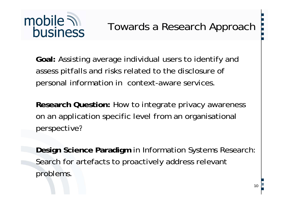

**Goal:** Assisting average individual users to identify and assess pitfalls and risks related to the disclosure of personal information in context-aware services.

Research Question: How to integrate privacy awareness on an application specific level from an organisational perspective?

**Design Science Paradigm in Information Systems Research** Search for artefacts to proactively address relevant bl problems.  $\begin{bmatrix} 10 & 2 \\ 20 & 10 \end{bmatrix}$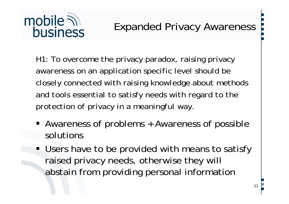# mobile  $\overline{\mathcal{N}}$ **business**

### Expanded Privacy Awareness

*H1: To overcome the privacy paradox, raising privacy awareness on an application specific level should be closely connected with raising knowledge about methods and tools essential to satisfy needs with regard to the protection of privacy in a meaningful way.*

- Awareness of problems + Awareness of possible solutions
- **Users have to be provided with means to satisfy** raised privacy needs, otherwise they will abstain from providing personal information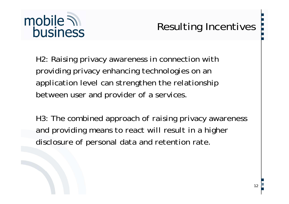

## **…** Resulting Incentives

*H2: Raising privacy awareness in connection with providing privacy enhancing technologies on an application level can strengthen the relationship between user and provider of a services.*

*H3: The combined approach of raising privacy awareness and providing means to react will result in a higher disclosure of personal data and retention rate.*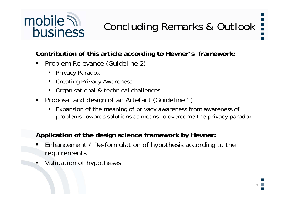# mobile 7 **business**

# **…** Concluding Remarks & Outlook

**Contribution of this article according to Hevner's framework:** 

- $\blacksquare$  Problem Relevance (Guideline 2)
	- Privacy Paradox
	- Creating Privacy Awareness
	- Organisational & technical challenges
- **Proposal and design of an Artefact (Guideline 1)** 
	- $\blacksquare$  Expansion of the meaning of privacy awareness from awareness of problems towards solutions as means to overcome the privacy paradox

**Application of the design science framework by Hevner:**

- Ξ • Enhancement / Re-formulation of hypothesis according to the requirements
- Validation of hypotheses